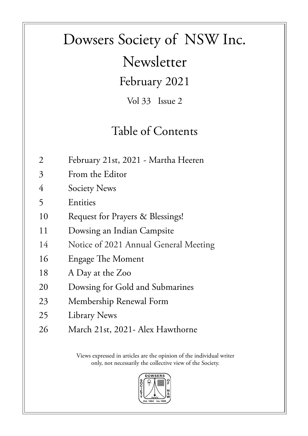# Dowsers Society of NSW Inc. Newsletter

February 2021

Vol 33 Issue 2

#### Table of Contents

- 2 February 21st, 2021 Martha Heeren
- 3 From the Editor
- 4 Society News
- 5 Entities
- 10 Request for Prayers & Blessings!
- 11 Dowsing an Indian Campsite
- 14 Notice of 2021 Annual General Meeting
- 16 Engage The Moment
- 18 A Day at the Zoo
- 20 Dowsing for Gold and Submarines
- 23 Membership Renewal Form
- 25 Library News
- 26 March 21st, 2021- Alex Hawthorne

Views expressed in articles are the opinion of the individual writer only, not necessarily the collective view of the Society.

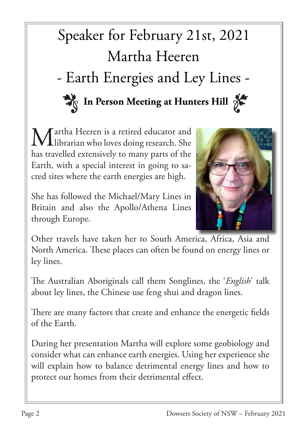# Speaker for February 21st, 2021 Martha Heeren - Earth Energies and Ley Lines - In Person Meeting at Hunters Hill  $\gamma$

Martha Heeren is a retired educator and<br>
librarian who loves doing research. She librarian who loves doing research. She has travelled extensively to many parts of the Earth, with a special interest in going to sacred sites where the earth energies are high.

She has followed the Michael/Mary Lines in Britain and also the Apollo/Athena Lines through Europe.



Other travels have taken her to South America, Africa, Asia and North America. These places can often be found on energy lines or ley lines.

The Australian Aboriginals call them Songlines, the '*English*' talk about ley lines, the Chinese use feng shui and dragon lines.

There are many factors that create and enhance the energetic fields of the Earth.

During her presentation Martha will explore some geobiology and consider what can enhance earth energies. Using her experience she will explain how to balance detrimental energy lines and how to protect our homes from their detrimental effect.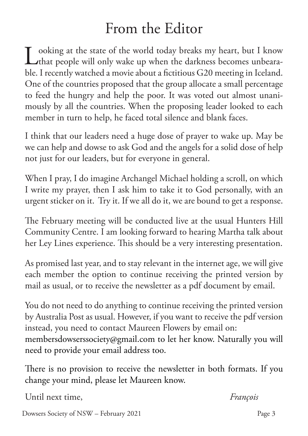## From the Editor

Looking at the state of the world today breaks my heart, but I know<br>that people will only wake up when the darkness becomes unbearathat people will only wake up when the darkness becomes unbearable. I recently watched a movie about a fictitious G20 meeting in Iceland. One of the countries proposed that the group allocate a small percentage to feed the hungry and help the poor. It was voted out almost unanimously by all the countries. When the proposing leader looked to each member in turn to help, he faced total silence and blank faces.

I think that our leaders need a huge dose of prayer to wake up. May be we can help and dowse to ask God and the angels for a solid dose of help not just for our leaders, but for everyone in general.

When I pray, I do imagine Archangel Michael holding a scroll, on which I write my prayer, then I ask him to take it to God personally, with an urgent sticker on it. Try it. If we all do it, we are bound to get a response.

The February meeting will be conducted live at the usual Hunters Hill Community Centre. I am looking forward to hearing Martha talk about her Ley Lines experience. This should be a very interesting presentation.

As promised last year, and to stay relevant in the internet age, we will give each member the option to continue receiving the printed version by mail as usual, or to receive the newsletter as a pdf document by email.

You do not need to do anything to continue receiving the printed version by Australia Post as usual. However, if you want to receive the pdf version instead, you need to contact Maureen Flowers by email on: membersdowserssociety@gmail.com to let her know. Naturally you will need to provide your email address too.

There is no provision to receive the newsletter in both formats. If you change your mind, please let Maureen know.

Until next time, *François*

Dowsers Society of NSW – February 2021 Page 3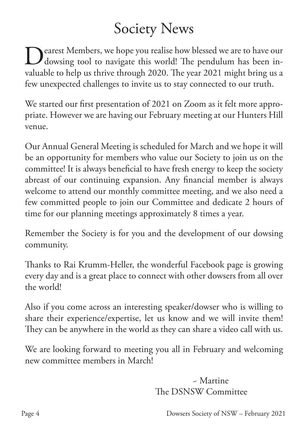## Society News

Pearest Members, we hope you realise how blessed we are to have our dowsing tool to navigate this world! The pendulum has been invaluable to help us thrive through 2020. The year 2021 might bring us a few unexpected challenges to invite us to stay connected to our truth.

We started our first presentation of 2021 on Zoom as it felt more appropriate. However we are having our February meeting at our Hunters Hill venue.

Our Annual General Meeting is scheduled for March and we hope it will be an opportunity for members who value our Society to join us on the committee! It is always beneficial to have fresh energy to keep the society abreast of our continuing expansion. Any financial member is always welcome to attend our monthly committee meeting, and we also need a few committed people to join our Committee and dedicate 2 hours of time for our planning meetings approximately 8 times a year.

Remember the Society is for you and the development of our dowsing community.

Thanks to Rai Krumm-Heller, the wonderful Facebook page is growing every day and is a great place to connect with other dowsers from all over the world!

Also if you come across an interesting speaker/dowser who is willing to share their experience/expertise, let us know and we will invite them! They can be anywhere in the world as they can share a video call with us.

We are looking forward to meeting you all in February and welcoming new committee members in March!

> ~ Martine The DSNSW Committee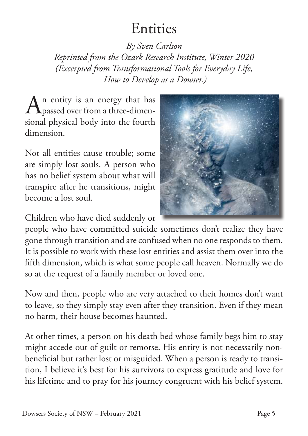### Entities

*By Sven Carlson*

*Reprinted from the Ozark Research Institute, Winter 2020 (Excerpted from Transformational Tools for Everyday Life, How to Develop as a Dowser.)*

 $A<sub>p</sub>$  entity is an energy that has<br>three-dimenpassed over from a three-dimensional physical body into the fourth dimension.

Not all entities cause trouble; some are simply lost souls. A person who has no belief system about what will transpire after he transitions, might become a lost soul.

Children who have died suddenly or



people who have committed suicide sometimes don't realize they have gone through transition and are confused when no one responds to them. It is possible to work with these lost entities and assist them over into the fifth dimension, which is what some people call heaven. Normally we do so at the request of a family member or loved one.

Now and then, people who are very attached to their homes don't want to leave, so they simply stay even after they transition. Even if they mean no harm, their house becomes haunted.

At other times, a person on his death bed whose family begs him to stay might accede out of guilt or remorse. His entity is not necessarily nonbeneficial but rather lost or misguided. When a person is ready to transition, I believe it's best for his survivors to express gratitude and love for his lifetime and to pray for his journey congruent with his belief system.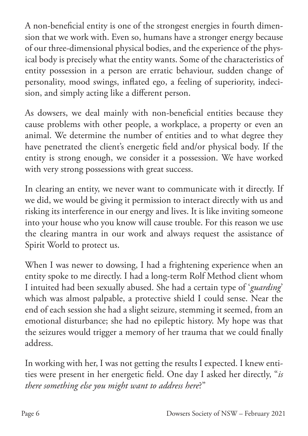A non-beneficial entity is one of the strongest energies in fourth dimension that we work with. Even so, humans have a stronger energy because of our three-dimensional physical bodies, and the experience of the physical body is precisely what the entity wants. Some of the characteristics of entity possession in a person are erratic behaviour, sudden change of personality, mood swings, inflated ego, a feeling of superiority, indecision, and simply acting like a different person.

As dowsers, we deal mainly with non-beneficial entities because they cause problems with other people, a workplace, a property or even an animal. We determine the number of entities and to what degree they have penetrated the client's energetic field and/or physical body. If the entity is strong enough, we consider it a possession. We have worked with very strong possessions with great success.

In clearing an entity, we never want to communicate with it directly. If we did, we would be giving it permission to interact directly with us and risking its interference in our energy and lives. It is like inviting someone into your house who you know will cause trouble. For this reason we use the clearing mantra in our work and always request the assistance of Spirit World to protect us.

When I was newer to dowsing, I had a frightening experience when an entity spoke to me directly. I had a long-term Rolf Method client whom I intuited had been sexually abused. She had a certain type of '*guarding*' which was almost palpable, a protective shield I could sense. Near the end of each session she had a slight seizure, stemming it seemed, from an emotional disturbance; she had no epileptic history. My hope was that the seizures would trigger a memory of her trauma that we could finally address.

In working with her, I was not getting the results I expected. I knew entities were present in her energetic field. One day I asked her directly, "*is there something else you might want to address here*?"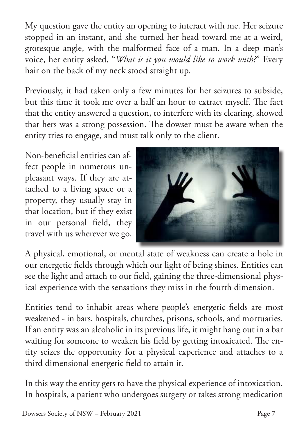My question gave the entity an opening to interact with me. Her seizure stopped in an instant, and she turned her head toward me at a weird, grotesque angle, with the malformed face of a man. In a deep man's voice, her entity asked, "*What is it you would like to work with?*" Every hair on the back of my neck stood straight up.

Previously, it had taken only a few minutes for her seizures to subside, but this time it took me over a half an hour to extract myself. The fact that the entity answered a question, to interfere with its clearing, showed that hers was a strong possession. The dowser must be aware when the entity tries to engage, and must talk only to the client.

Non-beneficial entities can affect people in numerous unpleasant ways. If they are attached to a living space or a property, they usually stay in that location, but if they exist in our personal field, they travel with us wherever we go.



A physical, emotional, or mental state of weakness can create a hole in our energetic fields through which our light of being shines. Entities can see the light and attach to our field, gaining the three-dimensional physical experience with the sensations they miss in the fourth dimension.

Entities tend to inhabit areas where people's energetic fields are most weakened - in bars, hospitals, churches, prisons, schools, and mortuaries. If an entity was an alcoholic in its previous life, it might hang out in a bar waiting for someone to weaken his field by getting intoxicated. The entity seizes the opportunity for a physical experience and attaches to a third dimensional energetic field to attain it.

In this way the entity gets to have the physical experience of intoxication. In hospitals, a patient who undergoes surgery or takes strong medication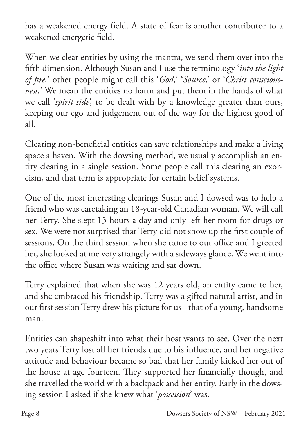has a weakened energy field. A state of fear is another contributor to a weakened energetic field.

When we clear entities by using the mantra, we send them over into the fifth dimension. Although Susan and I use the terminology '*into the light of fire,*' other people might call this '*God,*' '*Source*,' or '*Christ consciousness.*' We mean the entities no harm and put them in the hands of what we call '*spirit side',* to be dealt with by a knowledge greater than ours, keeping our ego and judgement out of the way for the highest good of all.

Clearing non-beneficial entities can save relationships and make a living space a haven. With the dowsing method, we usually accomplish an entity clearing in a single session. Some people call this clearing an exorcism, and that term is appropriate for certain belief systems.

One of the most interesting clearings Susan and I dowsed was to help a friend who was caretaking an 18-year-old Canadian woman. We will call her Terry. She slept 15 hours a day and only left her room for drugs or sex. We were not surprised that Terry did not show up the first couple of sessions. On the third session when she came to our office and I greeted her, she looked at me very strangely with a sideways glance. We went into the office where Susan was waiting and sat down.

Terry explained that when she was 12 years old, an entity came to her, and she embraced his friendship. Terry was a gifted natural artist, and in our first session Terry drew his picture for us - that of a young, handsome man.

Entities can shapeshift into what their host wants to see. Over the next two years Terry lost all her friends due to his influence, and her negative attitude and behaviour became so bad that her family kicked her out of the house at age fourteen. They supported her financially though, and she travelled the world with a backpack and her entity. Early in the dowsing session I asked if she knew what '*possession*' was.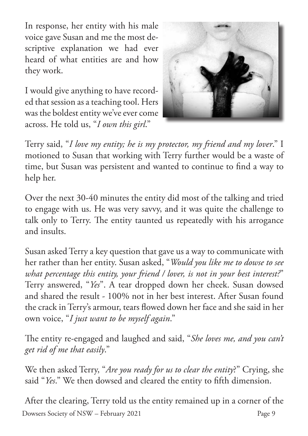In response, her entity with his male voice gave Susan and me the most descriptive explanation we had ever heard of what entities are and how they work.

I would give anything to have recorded that session as a teaching tool. Hers was the boldest entity we've ever come across. He told us, "*I own this girl*."



Terry said, "*I love my entity; he is my protector, my friend and my lover*." I motioned to Susan that working with Terry further would be a waste of time, but Susan was persistent and wanted to continue to find a way to help her.

Over the next 30-40 minutes the entity did most of the talking and tried to engage with us. He was very savvy, and it was quite the challenge to talk only to Terry. The entity taunted us repeatedly with his arrogance and insults.

Susan asked Terry a key question that gave us a way to communicate with her rather than her entity. Susan asked, "*Would you like me to dowse to see what percentage this entity, your friend / lover, is not in your best interest?*" Terry answered, "*Yes*". A tear dropped down her cheek. Susan dowsed and shared the result - 100% not in her best interest. After Susan found the crack in Terry's armour, tears flowed down her face and she said in her own voice, "*I just want to be myself again*."

The entity re-engaged and laughed and said, "*She loves me, and you can't get rid of me that easily*."

We then asked Terry, "*Are you ready for us to clear the entity*?" Crying, she said "*Yes*." We then dowsed and cleared the entity to fifth dimension.

Dowsers Society of NSW – February 2021 Page 9 After the clearing, Terry told us the entity remained up in a corner of the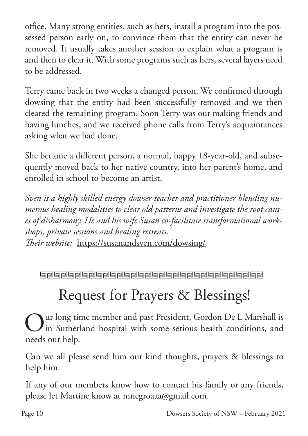office. Many strong entities, such as hers, install a program into the possessed person early on, to convince them that the entity can never be removed. It usually takes another session to explain what a program is and then to clear it. With some programs such as hers, several layers need to be addressed.

Terry came back in two weeks a changed person. We confirmed through dowsing that the entity had been successfully removed and we then cleared the remaining program. Soon Terry was out making friends and having lunches, and we received phone calls from Terry's acquaintances asking what we had done.

She became a different person, a normal, happy 18-year-old, and subsequently moved back to her native country, into her parent's home, and enrolled in school to become an artist.

*Sven is a highly skilled energy dowser teacher and practitioner blending numerous healing modalities to clear old patterns and investigate the root causes of disharmony. He and his wife Susan co-facilitate transformational workshops, private sessions and healing retreats. Their website:* https://susanandsven.com/dowsing/

# Request for Prayers & Blessings!

Our long time member and past President, Gordon De L Marshall is<br>in Sutherland hospital with some serious health conditions, and in Sutherland hospital with some serious health conditions, and needs our help.

Can we all please send him our kind thoughts, prayers & blessings to help him.

If any of our members know how to contact his family or any friends, please let Martine know at mnegroaaa@gmail.com.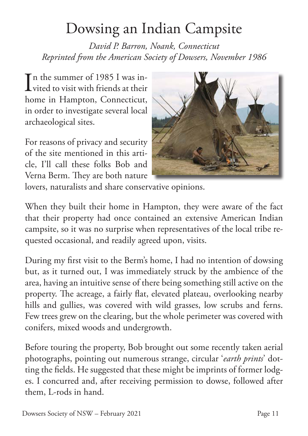## Dowsing an Indian Campsite

*David P. Barron, Noank, Connecticut Reprinted from the American Society of Dowsers, November 1986*

In the summer of 1985 I was in-<br>vited to visit with friends at their  $\mathbf 1$  vited to visit with friends at their home in Hampton, Connecticut, in order to investigate several local archaeological sites.

For reasons of privacy and security of the site mentioned in this article, I'll call these folks Bob and Verna Berm. They are both nature



lovers, naturalists and share conservative opinions.

When they built their home in Hampton, they were aware of the fact that their property had once contained an extensive American Indian campsite, so it was no surprise when representatives of the local tribe requested occasional, and readily agreed upon, visits.

During my first visit to the Berm's home, I had no intention of dowsing but, as it turned out, I was immediately struck by the ambience of the area, having an intuitive sense of there being something still active on the property. The acreage, a fairly flat, elevated plateau, overlooking nearby hills and gullies, was covered with wild grasses, low scrubs and ferns. Few trees grew on the clearing, but the whole perimeter was covered with conifers, mixed woods and undergrowth.

Before touring the property, Bob brought out some recently taken aerial photographs, pointing out numerous strange, circular '*earth prints*' dotting the fields. He suggested that these might be imprints of former lodges. I concurred and, after receiving permission to dowse, followed after them, L-rods in hand.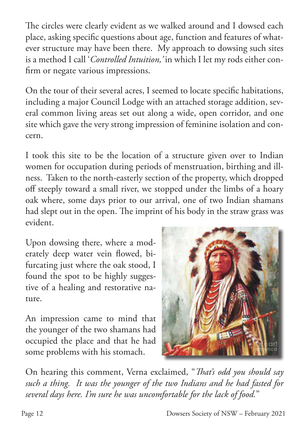The circles were clearly evident as we walked around and I dowsed each place, asking specific questions about age, function and features of whatever structure may have been there. My approach to dowsing such sites is a method I call '*Controlled Intuition,'* in which I let my rods either confirm or negate various impressions.

On the tour of their several acres, I seemed to locate specific habitations, including a major Council Lodge with an attached storage addition, several common living areas set out along a wide, open corridor, and one site which gave the very strong impression of feminine isolation and concern.

I took this site to be the location of a structure given over to Indian women for occupation during periods of menstruation, birthing and illness. Taken to the north-easterly section of the property, which dropped off steeply toward a small river, we stopped under the limbs of a hoary oak where, some days prior to our arrival, one of two Indian shamans had slept out in the open. The imprint of his body in the straw grass was evident.

Upon dowsing there, where a moderately deep water vein flowed, bifurcating just where the oak stood, I found the spot to be highly suggestive of a healing and restorative nature.

An impression came to mind that the younger of the two shamans had occupied the place and that he had some problems with his stomach.



On hearing this comment, Verna exclaimed, "*That's odd you should say such a thing. It was the younger of the two Indians and he had fasted for several days here. I'm sure he was uncomfortable for the lack of food.*"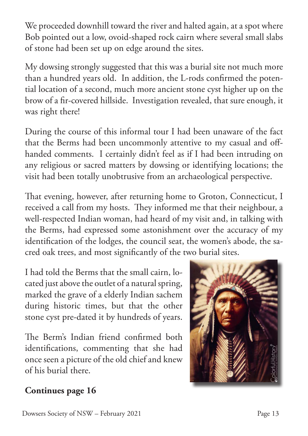We proceeded downhill toward the river and halted again, at a spot where Bob pointed out a low, ovoid-shaped rock cairn where several small slabs of stone had been set up on edge around the sites.

My dowsing strongly suggested that this was a burial site not much more than a hundred years old. In addition, the L-rods confirmed the potential location of a second, much more ancient stone cyst higher up on the brow of a fir-covered hillside. Investigation revealed, that sure enough, it was right there!

During the course of this informal tour I had been unaware of the fact that the Berms had been uncommonly attentive to my casual and offhanded comments. I certainly didn't feel as if I had been intruding on any religious or sacred matters by dowsing or identifying locations; the visit had been totally unobtrusive from an archaeological perspective.

That evening, however, after returning home to Groton, Connecticut, I received a call from my hosts. They informed me that their neighbour, a well-respected Indian woman, had heard of my visit and, in talking with the Berms, had expressed some astonishment over the accuracy of my identification of the lodges, the council seat, the women's abode, the sacred oak trees, and most significantly of the two burial sites.

I had told the Berms that the small cairn, located just above the outlet of a natural spring, marked the grave of a elderly Indian sachem during historic times, but that the other stone cyst pre-dated it by hundreds of years.

The Berm's Indian friend confirmed both identifications, commenting that she had once seen a picture of the old chief and knew of his burial there.



#### **Continues page 16**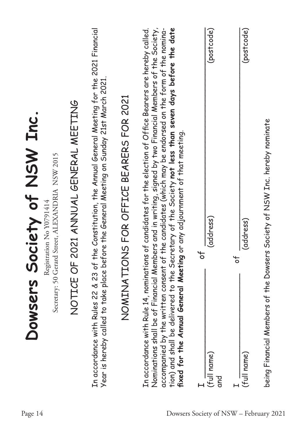| Society of NSW Inc.<br>Secretary: 50 Gerard Street, ALEXANDRIA NSW 2015<br>Registration No Y0791414 | 2021 ANNUAL GENERAL MEETING | the Constitution, the Annual General Meeting for the 2021 Financial<br>Year is hereby called to take place before the General Meeting on Sunday 21st March 2021. | NS FOR OFFICE BEARERS FOR 2021 | Nominations shall be of Financial Members and in writing, signed by two Financial Members of the Society,<br>accompanied by the written consent of the candidates (which may be endorsed on the form of the nomina-<br>tion) and shall be delivered to the Secretary of the Society <b>not less than seven days before the date</b><br>In accordance with Rule 14, nominations of candidates for the election of Office Bearers are hereby called. | (postcode)<br>(address) | $\overline{\circ}$ | (postcode)<br>(address) | being Financial Members of the Dowsers Society of NSW Inc. hereby nominate |
|-----------------------------------------------------------------------------------------------------|-----------------------------|------------------------------------------------------------------------------------------------------------------------------------------------------------------|--------------------------------|----------------------------------------------------------------------------------------------------------------------------------------------------------------------------------------------------------------------------------------------------------------------------------------------------------------------------------------------------------------------------------------------------------------------------------------------------|-------------------------|--------------------|-------------------------|----------------------------------------------------------------------------|
| Dowsers                                                                                             | NOTICE OF                   | In accordance with Rules 22 & 23 of                                                                                                                              | NOMINATION                     | fixed for the Annual General Meeting or any adjournment of that meeting.                                                                                                                                                                                                                                                                                                                                                                           | (full name)<br>and      |                    | (full name)             |                                                                            |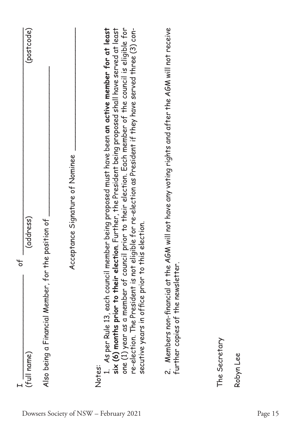|                                                            | 5 <sup>o</sup>                                                                                                                                                                                                                                                                                                                                                                                                                                  |
|------------------------------------------------------------|-------------------------------------------------------------------------------------------------------------------------------------------------------------------------------------------------------------------------------------------------------------------------------------------------------------------------------------------------------------------------------------------------------------------------------------------------|
| (full name)                                                | (postcode)<br>(address)                                                                                                                                                                                                                                                                                                                                                                                                                         |
| Also being a Financial Member, for the position of         |                                                                                                                                                                                                                                                                                                                                                                                                                                                 |
|                                                            | Acceptance Signature of Nominee                                                                                                                                                                                                                                                                                                                                                                                                                 |
| secutive years in office prior to this election.<br>Notes: | 1. As per Rule 13, each council member being proposed must have been an activ <b>e member for at least</b><br>six (6) months prior to their election. Further, the President being proposed shall have served at least<br>one (1) year as a member of council prior to their election. Each member of the council is eligible for<br>re-election. The President is not eligible for re-election as President if they have served three (3) con- |
| further copies of the newsletter.                          | 2. Members non-financial at the AGM will not have any voting rights and after the AGM will not receive                                                                                                                                                                                                                                                                                                                                          |

The Secretary The Secretary<br>Robyn Lee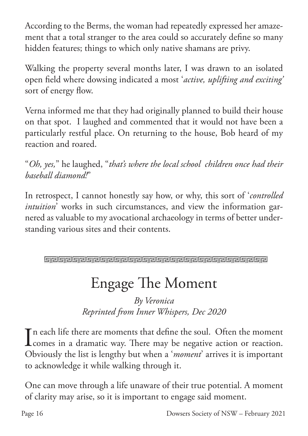According to the Berms, the woman had repeatedly expressed her amazement that a total stranger to the area could so accurately define so many hidden features; things to which only native shamans are privy.

Walking the property several months later, I was drawn to an isolated open field where dowsing indicated a most '*active, uplifting and exciting'*  sort of energy flow.

Verna informed me that they had originally planned to build their house on that spot. I laughed and commented that it would not have been a particularly restful place. On returning to the house, Bob heard of my reaction and roared.

"*Oh, yes,*" he laughed, "*that's where the local school children once had their baseball diamond!*"

In retrospect, I cannot honestly say how, or why, this sort of '*controlled intuition*' works in such circumstances, and view the information garnered as valuable to my avocational archaeology in terms of better understanding various sites and their contents.

**Greigreiche Greigreiche Greiferer Ereignehen Ereignehen** 

# Engage The Moment

*By Veronica Reprinted from Inner Whispers, Dec 2020*

In each life there are moments that define the soul. Often the moment<br>comes in a dramatic way. There may be negative action or reaction. **L** comes in a dramatic way. There may be negative action or reaction. Obviously the list is lengthy but when a '*moment*' arrives it is important to acknowledge it while walking through it.

One can move through a life unaware of their true potential. A moment of clarity may arise, so it is important to engage said moment.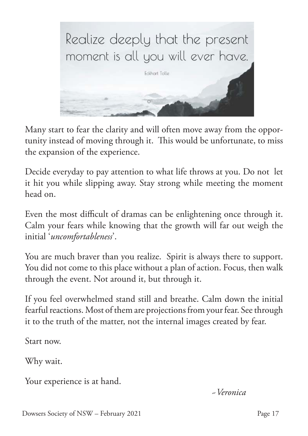

Many start to fear the clarity and will often move away from the opportunity instead of moving through it. This would be unfortunate, to miss the expansion of the experience.

Decide everyday to pay attention to what life throws at you. Do not let it hit you while slipping away. Stay strong while meeting the moment head on.

Even the most difficult of dramas can be enlightening once through it. Calm your fears while knowing that the growth will far out weigh the initial '*uncomfortableness*'.

You are much braver than you realize. Spirit is always there to support. You did not come to this place without a plan of action. Focus, then walk through the event. Not around it, but through it.

If you feel overwhelmed stand still and breathe. Calm down the initial fearful reactions. Most of them are projections from your fear. See through it to the truth of the matter, not the internal images created by fear.

Start now.

Why wait.

Your experience is at hand.

 *~Veronica*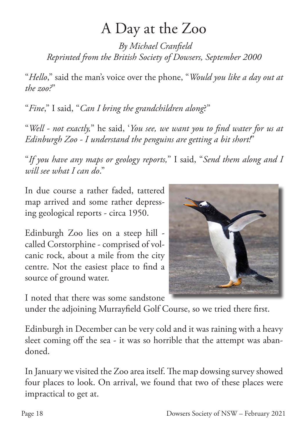### A Day at the Zoo

*By Michael Cranfield Reprinted from the British Society of Dowsers, September 2000*

"*Hello*," said the man's voice over the phone, "*Would you like a day out at the zoo?*"

"*Fine*," I said, "*Can I bring the grandchildren along*?"

"*Well - not exactly,*" he said, '*You see, we want you to find water for us at Edinburgh Zoo - I understand the penguins are getting a bit short!*"

"*If you have any maps or geology reports,*" I said, "*Send them along and I will see what I can do*."

In due course a rather faded, tattered map arrived and some rather depressing geological reports - circa 1950.

Edinburgh Zoo lies on a steep hill called Corstorphine - comprised of volcanic rock, about a mile from the city centre. Not the easiest place to find a source of ground water.



I noted that there was some sandstone

under the adjoining Murrayfield Golf Course, so we tried there first.

Edinburgh in December can be very cold and it was raining with a heavy sleet coming off the sea - it was so horrible that the attempt was abandoned.

In January we visited the Zoo area itself. The map dowsing survey showed four places to look. On arrival, we found that two of these places were impractical to get at.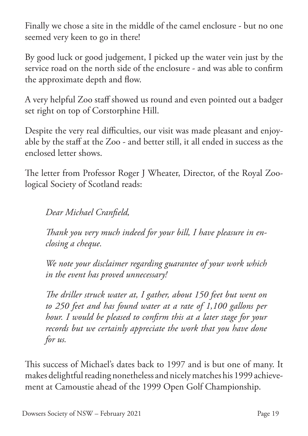Finally we chose a site in the middle of the camel enclosure - but no one seemed very keen to go in there!

By good luck or good judgement, I picked up the water vein just by the service road on the north side of the enclosure - and was able to confirm the approximate depth and flow.

A very helpful Zoo staff showed us round and even pointed out a badger set right on top of Corstorphine Hill.

Despite the very real difficulties, our visit was made pleasant and enjoyable by the staff at the Zoo - and better still, it all ended in success as the enclosed letter shows.

The letter from Professor Roger J Wheater, Director, of the Royal Zoological Society of Scotland reads:

*Dear Michael Cranfield,*

*Thank you very much indeed for your bill, I have pleasure in enclosing a cheque.*

*We note your disclaimer regarding guarantee of your work which in the event has proved unnecessary!* 

*The driller struck water at, I gather, about 150 feet but went on to 250 feet and has found water at a rate of 1,100 gallons per hour. I would be pleased to confirm this at a later stage for your records but we certainly appreciate the work that you have done for us.*

This success of Michael's dates back to 1997 and is but one of many. It makes delightful reading nonetheless and nicely matches his 1999 achievement at Camoustie ahead of the 1999 Open Golf Championship.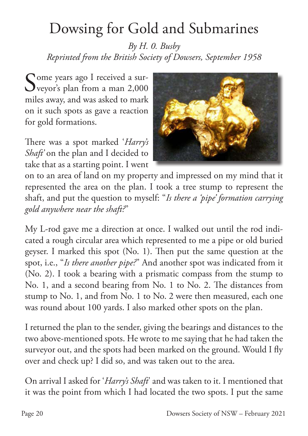# Dowsing for Gold and Submarines

*By H. 0. Busby Reprinted from the British Society of Dowsers, September 1958*

Some years ago I received a sur-<br>
Sveyor's plan from a man 2,000 veyor's plan from a man 2,000 miles away, and was asked to mark on it such spots as gave a reaction for gold formations.

There was a spot marked '*Harry's Shaft'* on the plan and I decided to take that as a starting point. I went



on to an area of land on my property and impressed on my mind that it represented the area on the plan. I took a tree stump to represent the shaft, and put the question to myself: "*Is there a 'pipe' formation carrying gold anywhere near the shaft?*"

My L-rod gave me a direction at once. I walked out until the rod indicated a rough circular area which represented to me a pipe or old buried geyser. I marked this spot (No. 1). Then put the same question at the spot, i.e., "*Is there another pipe?*" And another spot was indicated from it (No. 2). I took a bearing with a prismatic compass from the stump to No. 1, and a second bearing from No. 1 to No. 2. The distances from stump to No. 1, and from No. 1 to No. 2 were then measured, each one was round about 100 yards. I also marked other spots on the plan.

I returned the plan to the sender, giving the bearings and distances to the two above-mentioned spots. He wrote to me saying that he had taken the surveyor out, and the spots had been marked on the ground. Would I fly over and check up? I did so, and was taken out to the area.

On arrival I asked for '*Harry's Shaft*' and was taken to it. I mentioned that it was the point from which I had located the two spots. I put the same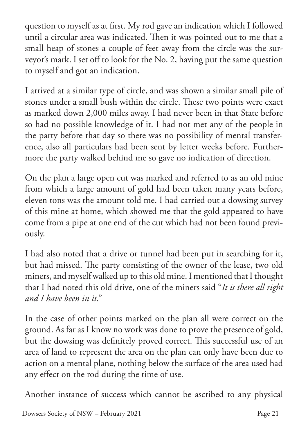question to myself as at first. My rod gave an indication which I followed until a circular area was indicated. Then it was pointed out to me that a small heap of stones a couple of feet away from the circle was the surveyor's mark. I set off to look for the No. 2, having put the same question to myself and got an indication.

I arrived at a similar type of circle, and was shown a similar small pile of stones under a small bush within the circle. These two points were exact as marked down 2,000 miles away. I had never been in that State before so had no possible knowledge of it. I had not met any of the people in the party before that day so there was no possibility of mental transference, also all particulars had been sent by letter weeks before. Furthermore the party walked behind me so gave no indication of direction.

On the plan a large open cut was marked and referred to as an old mine from which a large amount of gold had been taken many years before, eleven tons was the amount told me. I had carried out a dowsing survey of this mine at home, which showed me that the gold appeared to have come from a pipe at one end of the cut which had not been found previously.

I had also noted that a drive or tunnel had been put in searching for it, but had missed. The party consisting of the owner of the lease, two old miners, and myself walked up to this old mine. I mentioned that I thought that I had noted this old drive, one of the miners said "*It is there all right and I have been in it*."

In the case of other points marked on the plan all were correct on the ground. As far as I know no work was done to prove the presence of gold, but the dowsing was definitely proved correct. This successful use of an area of land to represent the area on the plan can only have been due to action on a mental plane, nothing below the surface of the area used had any effect on the rod during the time of use.

Another instance of success which cannot be ascribed to any physical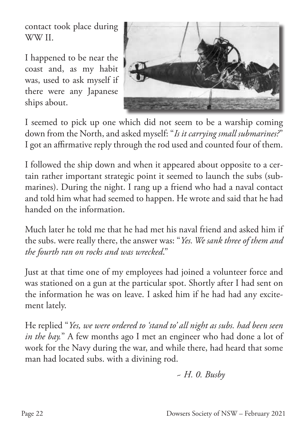contact took place during WW II.

I happened to be near the coast and, as my habit was, used to ask myself if there were any Japanese ships about.



I seemed to pick up one which did not seem to be a warship coming down from the North, and asked myself: "*Is it carrying small submarines?*" I got an affirmative reply through the rod used and counted four of them.

I followed the ship down and when it appeared about opposite to a certain rather important strategic point it seemed to launch the subs (submarines). During the night. I rang up a friend who had a naval contact and told him what had seemed to happen. He wrote and said that he had handed on the information.

Much later he told me that he had met his naval friend and asked him if the subs. were really there, the answer was: "*Yes. We sank three of them and the fourth ran on rocks and was wrecked*."

Just at that time one of my employees had joined a volunteer force and was stationed on a gun at the particular spot. Shortly after I had sent on the information he was on leave. I asked him if he had had any excitement lately.

He replied "*Yes, we were ordered to 'stand to' all night as subs. had been seen in the bay.*" A few months ago I met an engineer who had done a lot of work for the Navy during the war, and while there, had heard that some man had located subs. with a divining rod.

$$
\sim H. \ 0. \ Busby
$$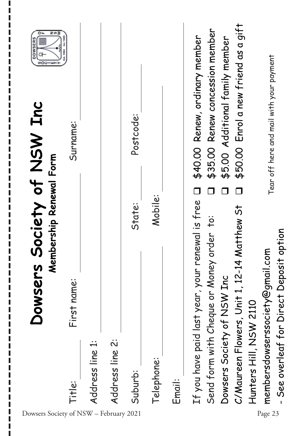| z∽≩<br>ᅆ<br>ဖာဝပ                                         | Surname:    |                 |                 | Postcode: |            |        | \$40.00 Renew, ordinary member                   | \$35.00 Renew concession member<br>\$5.00 Additional family member | \$50.00 Enrol a new friend as a gift        |                        | Tear off here and mail with your payment |                                          |
|----------------------------------------------------------|-------------|-----------------|-----------------|-----------|------------|--------|--------------------------------------------------|--------------------------------------------------------------------|---------------------------------------------|------------------------|------------------------------------------|------------------------------------------|
|                                                          |             |                 |                 |           |            |        |                                                  |                                                                    |                                             |                        |                                          |                                          |
| Society of NSW Inc<br>Membership Renewal Form<br>Dowsers | First name: |                 |                 | State:    | Mobile:    |        | If you have paid last year, your renewal is free | rder to:<br>Send form with Cheque or Money o                       | C/Maureen Flowers, Unit 1, 12-14 Matthew St |                        | membersdowserssociety@gmail.com          | - See overleaf for Direct Deposit option |
| Dowsers Society of NSW - February 2021                   | Title:      | Address line 1: | Address line 2: | Suburb:   | Telephone: | Email: |                                                  | Dowsers Society of NSW Inc                                         |                                             | Hunters Hill, NSW 2110 | Page 23                                  |                                          |

I I Г П I

ı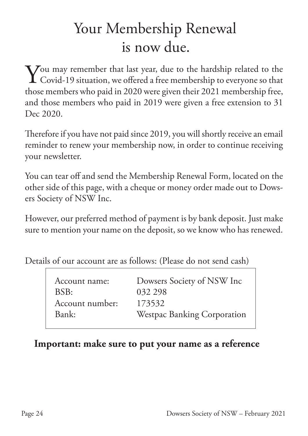# Your Membership Renewal is now due.

You may remember that last year, due to the hardship related to the Covid-19 situation, we offered a free membership to everyone so that Covid-19 situation, we offered a free membership to everyone so that those members who paid in 2020 were given their 2021 membership free, and those members who paid in 2019 were given a free extension to 31 Dec 2020.

Therefore if you have not paid since 2019, you will shortly receive an email reminder to renew your membership now, in order to continue receiving your newsletter.

You can tear off and send the Membership Renewal Form, located on the other side of this page, with a cheque or money order made out to Dowsers Society of NSW Inc.

However, our preferred method of payment is by bank deposit. Just make sure to mention your name on the deposit, so we know who has renewed.

Details of our account are as follows: (Please do not send cash)

| Account name:   | Dowsers Society of NSW Inc  |
|-----------------|-----------------------------|
| BSB:            | 032 298                     |
| Account number: | 173532                      |
| Bank:           | Westpac Banking Corporation |

#### **Important: make sure to put your name as a reference**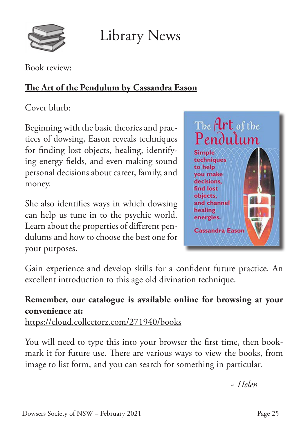

Library News

Book review:

#### **The Art of the Pendulum by Cassandra Eason**

Cover blurb:

Beginning with the basic theories and practices of dowsing, Eason reveals techniques for finding lost objects, healing, identifying energy fields, and even making sound personal decisions about career, family, and money.

She also identifies ways in which dowsing can help us tune in to the psychic world. Learn about the properties of different pendulums and how to choose the best one for your purposes.



Gain experience and develop skills for a confident future practice. An excellent introduction to this age old divination technique.

#### **Remember, our catalogue is available online for browsing at your convenience at:**

https://cloud.collectorz.com/271940/books

You will need to type this into your browser the first time, then bookmark it for future use. There are various ways to view the books, from image to list form, and you can search for something in particular.

 *~ Helen*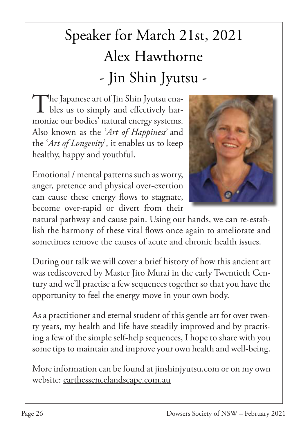# Speaker for March 21st, 2021 Alex Hawthorne - Jin Shin Jyutsu -

The Japanese art of Jin Shin Jyutsu enables us to simply and effectively harmonize our bodies' natural energy systems. Also known as the '*Art of Happiness'* and the '*Art of Longevity*', it enables us to keep healthy, happy and youthful.



Emotional / mental patterns such as worry, anger, pretence and physical over-exertion can cause these energy flows to stagnate, become over-rapid or divert from their

natural pathway and cause pain. Using our hands, we can re-establish the harmony of these vital flows once again to ameliorate and sometimes remove the causes of acute and chronic health issues.

During our talk we will cover a brief history of how this ancient art was rediscovered by Master Jiro Murai in the early Twentieth Century and we'll practise a few sequences together so that you have the opportunity to feel the energy move in your own body.

As a practitioner and eternal student of this gentle art for over twenty years, my health and life have steadily improved and by practising a few of the simple self-help sequences, I hope to share with you some tips to maintain and improve your own health and well-being.

More information can be found at jinshinjyutsu.com or on my own website: earthessencelandscape.com.au